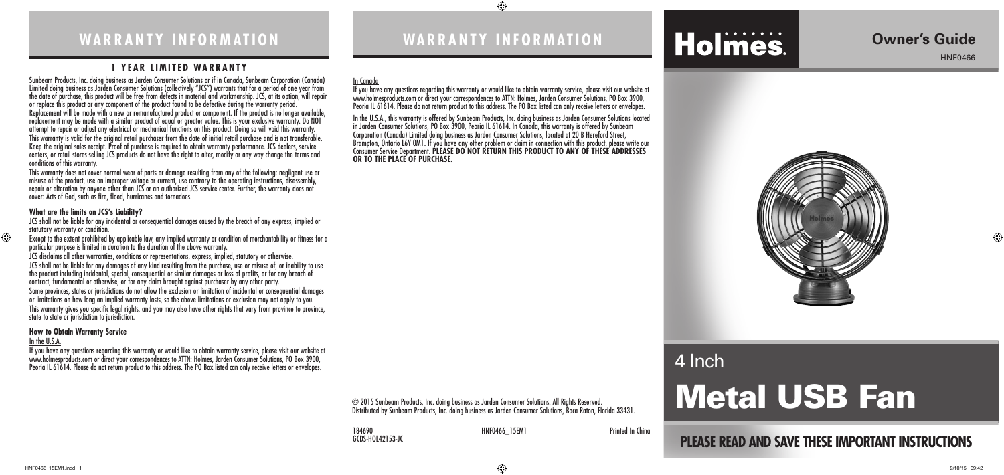# **WARRANTY INFORMATION**

#### **1 YEAR LIMITED WARRANTY**

Sunbeam Products, Inc. doing business as Jarden Consumer Solutions or if in Canada, Sunbeam Corporation (Canada) Limited doing business as Jarden Consumer Solutions (collectively "JCS") warrants that for a period of one year from the date of purchase, this product will be free from defects in material and workmanship. JCS, at its option, will repair or replace this product or any component of the product found to be defective during the warranty period. Replacement will be made with a new or remanufactured product or component. If the product is no longer available, replacement may be made with a similar product of equal or greater value. This is your exclusive warranty. Do NOT attempt to repair or adjust any electrical or mechanical functions on this product. Doing so will void this warranty. This warranty is valid for the original retail purchaser from the date of initial retail purchase and is not transferable. Keep the original sales receipt. Proof of purchase is required to obtain warranty performance. JCS dealers, service centers, or retail stores selling JCS products do not have the right to alter, modify or any way change the terms and conditions of this warranty.

JCS shall not be liable for any incidental or consequential damages caused by the breach of any express, implied or statutory warranty or condition.

This warranty does not cover normal wear of parts or damage resulting from any of the following: negligent use or misuse of the product, use on improper voltage or current, use contrary to the operating instructions, disassembly, repair or alteration by anyone other than JCS or an authorized JCS service center. Further, the warranty does not cover: Acts of God, such as fire, flood, hurricanes and tornadoes.

#### **What are the limits on JCS's Liability?**

Except to the extent prohibited by applicable law, any implied warranty or condition of merchantability or fitness for a particular purpose is limited in duration to the duration of the above warranty.

> 184690 **MINF0466** 15EM1 **Printed In China** GCDS-HOL42153-JC

JCS disclaims all other warranties, conditions or representations, express, implied, statutory or otherwise. JCS shall not be liable for any damages of any kind resulting from the purchase, use or misuse of, or inability to use the product including incidental, special, consequential or similar damages or loss of profits, or for any breach of contract, fundamental or otherwise, or for any claim brought against purchaser by any other party. Some provinces, states or jurisdictions do not allow the exclusion or limitation of incidental or consequential damages or limitations on how long an implied warranty lasts, so the above limitations or exclusion may not apply to you. This warranty gives you specific legal rights, and you may also have other rights that vary from province to province, state to state or jurisdiction to jurisdiction.

#### **How to Obtain Warranty Service**

#### In the U.S.A.

 $\bigoplus$ 

If you have any questions regarding this warranty or would like to obtain warranty service, please visit our website at www.holmesproducts.com or direct your correspondences to ATTN: Holmes, Jarden Consumer Solutions, PO Box 3900, Peoria IL 61614. Please do not return product to this address. The PO Box listed can only receive letters or envelopes.

# **PLEASE READ AND SAVE THESE IMPORTANT INSTRUCTIONS**

# **Owner's Guide**

HNF0466

⊕



# **WARRANTY INFORMATION**

 $\bigoplus$ 

#### In Canada

If you have any questions regarding this warranty or would like to obtain warranty service, please visit our website at www.holmesproducts.com or direct your correspondences to ATTN: Holmes, Jarden Consumer Solutions, PO Box 3900, Peoria IL 61614. Please do not return product to this address. The PO Box listed can only receive letters or envelopes.

In the U.S.A., this warranty is offered by Sunbeam Products, Inc. doing business as Jarden Consumer Solutions located in Jarden Consumer Solutions, PO Box 3900, Peoria IL 61614. In Canada, this warranty is offered by Sunbeam Corporation (Canada) Limited doing business as Jarden Consumer Solutions, located at 20 B Hereford Street, Brampton, Ontario L6Y 0M1. If you have any other problem or claim in connection with this product, please write our Consumer Service Department. **PLEASE DO NOT RETURN THIS PRODUCT TO ANY OF THESE ADDRESSES OR TO THE PLACE OF PURCHASE.** 

© 2015 Sunbeam Products, Inc. doing business as Jarden Consumer Solutions. All Rights Reserved. Distributed by Sunbeam Products, Inc. doing business as Jarden Consumer Solutions, Boca Raton, Florida 33431.

# Metal USB Fan